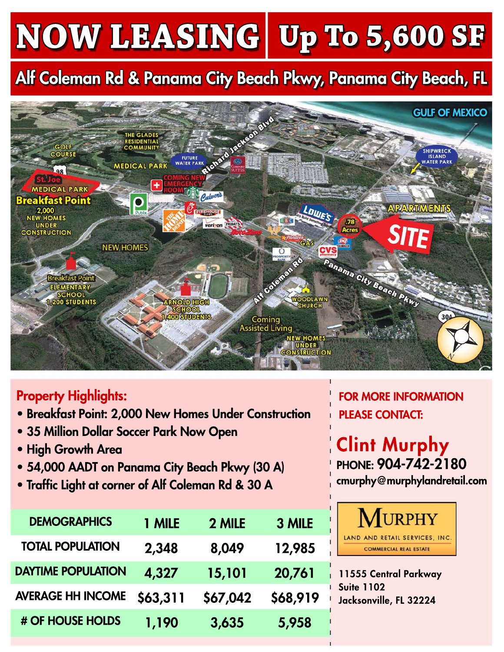## **NOW LEASING Up To 5,600 SF**

## Alf Coleman Rd & Panama City Beach Pkwy, Panama City Beach, FL



## Property Highlights:

- Breakfast Point: 2,000 New Homes Under Construction
- 35 Million Dollar Soccer Park Now Open
- High Growth Area
- 54,000 AADT on Panama City Beach Pkwy (30 A)
- Traffic Light at corner of Alf Coleman Rd & 30 A

| <b>DEMOGRAPHICS</b>       | 1 MILE   | 2 MILE   | 3 MILE   |
|---------------------------|----------|----------|----------|
| <b>TOTAL POPULATION</b>   | 2,348    | 8,049    | 12,985   |
| <b>DAYTIME POPULATION</b> | 4,327    | 15,101   | 20,761   |
| <b>AVERAGE HH INCOME</b>  | \$63,311 | \$67,042 | \$68,919 |
| # OF HOUSE HOLDS          | 1,190    | 3,635    | 5,958    |

FOR MORE INFORMATION PLEASE CONTACT:

Clint Murphy PHONE: 904-742-2180 cmurphy@murphylandretail.com



11555 Central Parkway Suite 1102 Jacksonville, FL 32224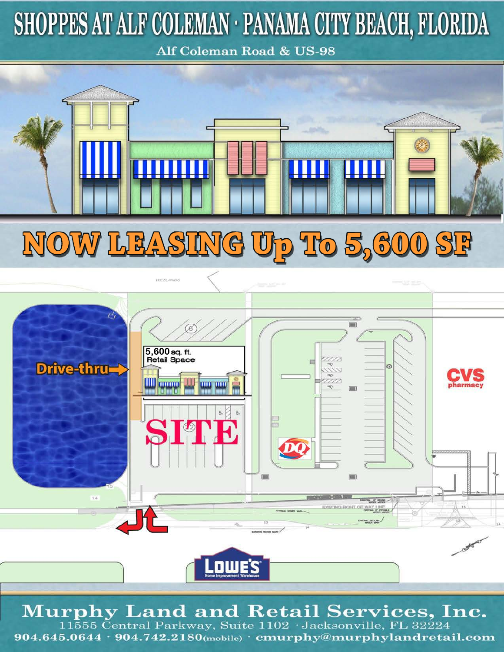## SHOPPES AT ALF COLEMAN · PANAMA CITY BEACH, FLORIDA

Alf Coleman Road & US-98





**Murphy Land and Retail Services, Inc.**  $11\overline{5}55$  Central Parkway, Suite  $1102$  Jacksonville, FL 32224

904.645.0644 · 904.742.2180(mobile) · cmurphy@murphylandretail.com